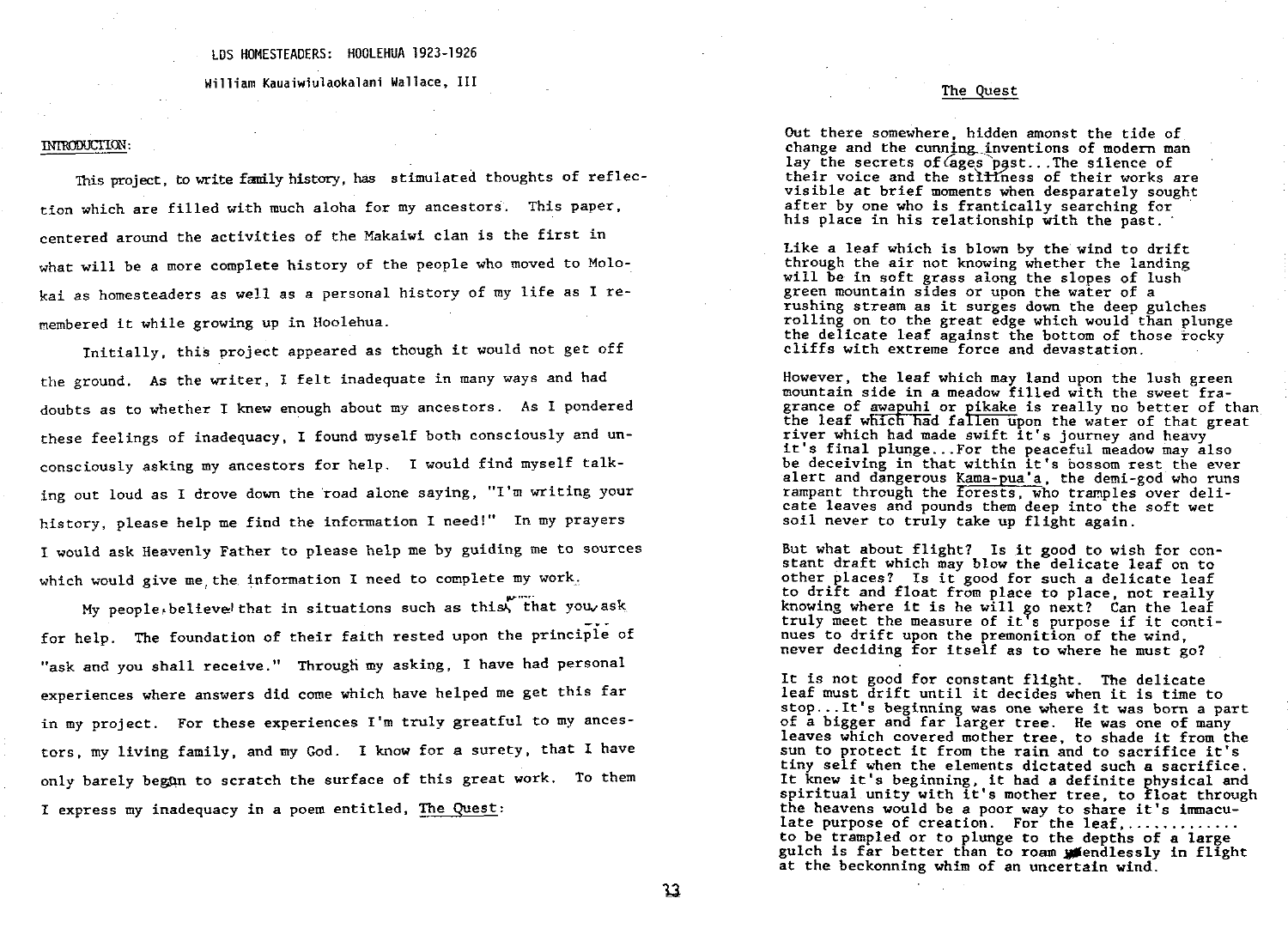# LDS HOMESTEADERS: HOOLEHUA 1923-1926

William Kauaiwiulaokalani Wallace, III

### introduction

This project, to write family history, has stimulated thoughts of reflection which are filled with much aloha for my ancestors. This paper centered around the activities of the makaiwi clan is the first in what will be a more complete history of the people who moved to Molokai as homesteaders as well as a personal history of my life as I remembered it while growing up in hoolehua

Initially, this project appeared as though it would not get off the ground. As the writer, I felt inadequate in many ways and had doubts as to whether I knew enough about my ancestors. As I pondered these feelings of inadequacy, I found myself both consciously and unconsciously asking my ancestors for help. I would find myself talking out loud as I drove down the road alone saying, "I'm writing your history, please help me find the information I need!" In my prayers I would ask Heavenly Father to please help me by guiding me to sources which would give me the information I need to complete my work.

My people, believe that in situations such as this, that you ask for help. The foundation of their faith rested upon the principle of "ask and you shall receive." Through my asking, I have had personal experiences where answers did come which have helped me get this far in my project. For these experiences I'm truly greatful to my ancestors, my living family, and my God. I know for a surety, that I have only barely began to scratch the surface of this great work. To them I express my inadequacy in a poem entitled, The Quest:

# The Quest

Out there somewhere, hidden amonst the tide of change and the cunning inventions of modern man lay the secrets of  $\zeta$  ages past... The silence of their voice and the stilliness of their works are visible at brief moments when desparately sought after by one who is frantically searching for his place in his relationship with the past.

But what about flight? Is it good to wish for constant draft which may blow the delicate leaf on to other places? Is it good for such a delicate leaf to drift and float from place to place not really knowing where it is he will go next? Can the leaf truly meet the measure of it <sup>s</sup> purpose if it continues to drift upon the premonition of the wind never deciding for itself as to where he must go

It is not good for constant flight. The delicate leaf must drift until it decides when it is time to rear must diffit dutif it decides when it is time to<br>stop...It's beginning was one where it was born a part<br>of a bigger and far larger tree. He was one of many of a bigger and far larger tree. He was one of many leaves which covered mother tree, to shade it from the sun to protect it from the rain and to sacrifice it's tiny self when the elements dictated such a sacrifice. It knew it's beginning, it had a definite physical and spiritual unity with it's mother tree, to float through the heavens would be a poor way to share it's immaculate purpose of creation. For the leaf,  $\ldots$ , ........ to be trampled or to plunge to the depths of a large gulch is far better than to roam *mendlessly in flight* at the beckonning whim of an uncertain wind.

like <sup>a</sup> leaf which is blown by the wind to drift through the air not knowing whether the landing will be in soft grass along the slopes of lush green mountain sides or upon the water of a rushing stream as it surges down the deep gulches rolling on to the great edge which would than plunge the delicate leaf against the bottom of those rocky cliffs with extreme force and devastation

However, the leaf which may land upon the lush green mountain side in a meadow filled with the sweet fragrance of awapuhi or pikake is really no better of than the leaf which had fallen upon the water of that great<br>the leaf which had fallen upon the water of that great river which had made swift it's journey and heavy it's final plunge...For the peaceful meadow may also be deceiving in that within it's bossom rest the ever alert and dangerous Kama-pua'a, the demi-god who runs rampant through the forests, who tramples over delicate leaves and pounds them deep into the soft wet soil never to truly take up flight again.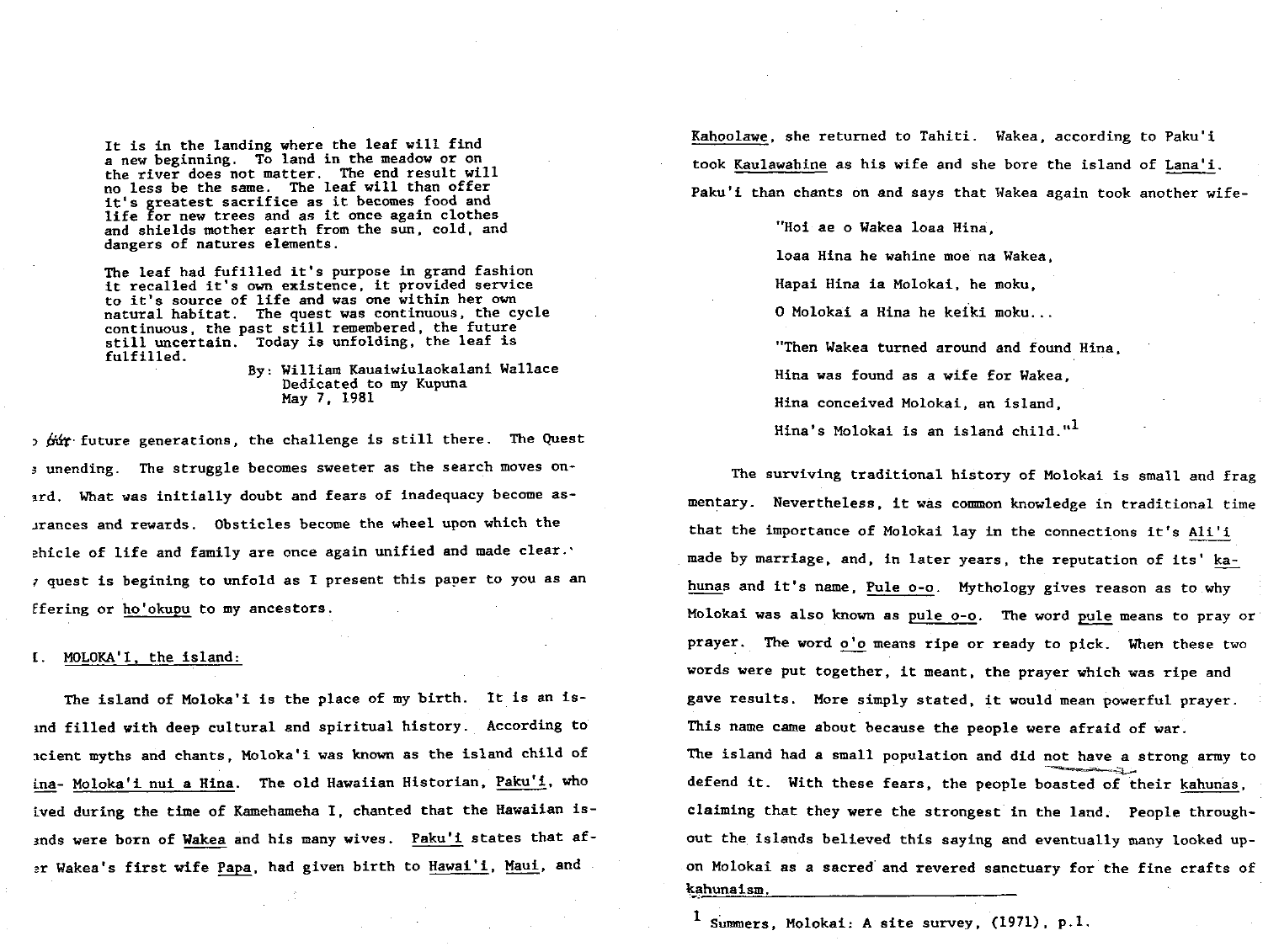It is in the landing where the leaf will find a new beginning. To land in the meadow or on the river does not matter. The end result will<br>no less be the same. The leaf will than offer it's greatest sacrifice as it becomes food and life for new trees and as it once again clothes and shields mother earth from the sun, cold, and dangers of natures elements.

The leaf had fufilled it's purpose in grand fashion<br>it recalled it's own existence, it provided service to it's source of life and was one within her own natural habitat. The quest was continuous, the cycle continuous, the past still remembered, the future still uncertain. Today is unfolding, the leaf is fulfilled

By: William Kauaiwiulaokalani Wallace Dedicated to my Kupuna May 7, 1981

 $\alpha$  6i $\alpha$  future generations, the challenge is still there. The Quest s unending. The struggle becomes sweeter as the search moves onard. What was initially doubt and fears of inadequacy become asirances and rewards. Obsticles become the wheel upon which the ehicle of life and family are once again unified and made clear.  $\tau$  quest is begining to unfold as I present this paper to you as an ffering or ho'okupu to my ancestors.

MOLOKA'I, the island:

The island of Moloka'i is the place of my birth. It is an isand filled with deep cultural and spiritual history. According to scient myths and chants, Moloka'i was known as the island child of ina- Moloka'i nui a Hina. The old Hawaiian Historian, Paku'i, who ived during the time of Kamehameha I, chanted that the Hawaiian isands were born of Wakea and his many wives. Paku'i states that afar Wakea's first wife Papa, had given birth to Hawai'i, Maui, and

Kahoolawe, she returned to Tahiti. Wakea, according to Paku'i took Kaulawahine as his wife and she bore the island of Lana'i. Paku'i than chants on and says that Wakea again took another wife-

> "Hoi ae o Wakea loaa Hina. loaa Hina he wahine moe na Wakea. Hapai Hina ia Molokai, he moku, 0 molokai a hina he keiki moku "Then Wakea turned around and found Hina, Hina was found as a wife for Wakea, Hina conceived Molokai, an island, **1** Hin<mark>a's Molokai is an island child."</mark>

The surviving traditional history of Molokai is small and frag mentary. Nevertheless, it was common knowledge in traditional time that the importance of Molokai lay in the connections it's Ali'i made by marriage, and, in later years, the reputation of its' kahunas and it's name, Pule o-o. Mythology gives reason as to why Molokai was also known as pule o-o. The word pule means to pray or prayer. The word o'o means ripe or ready to pick. When these two words were put together, it meant, the prayer which was ripe and gave results. More simply stated, it would mean powerful prayer. This name came about because the people were afraid of war. the island had a small population and did not have a strong army to defend it. With these fears, the people boasted of their kahunas, claiming that they were the strongest in the land. People throughout the islands believed this saying and eventually many looked upon molokai as a sacred and revered sanctuary for the fine crafts of kahunaism.

1 Summers, Molokai: A site survey,  $(1971)$ , p.1.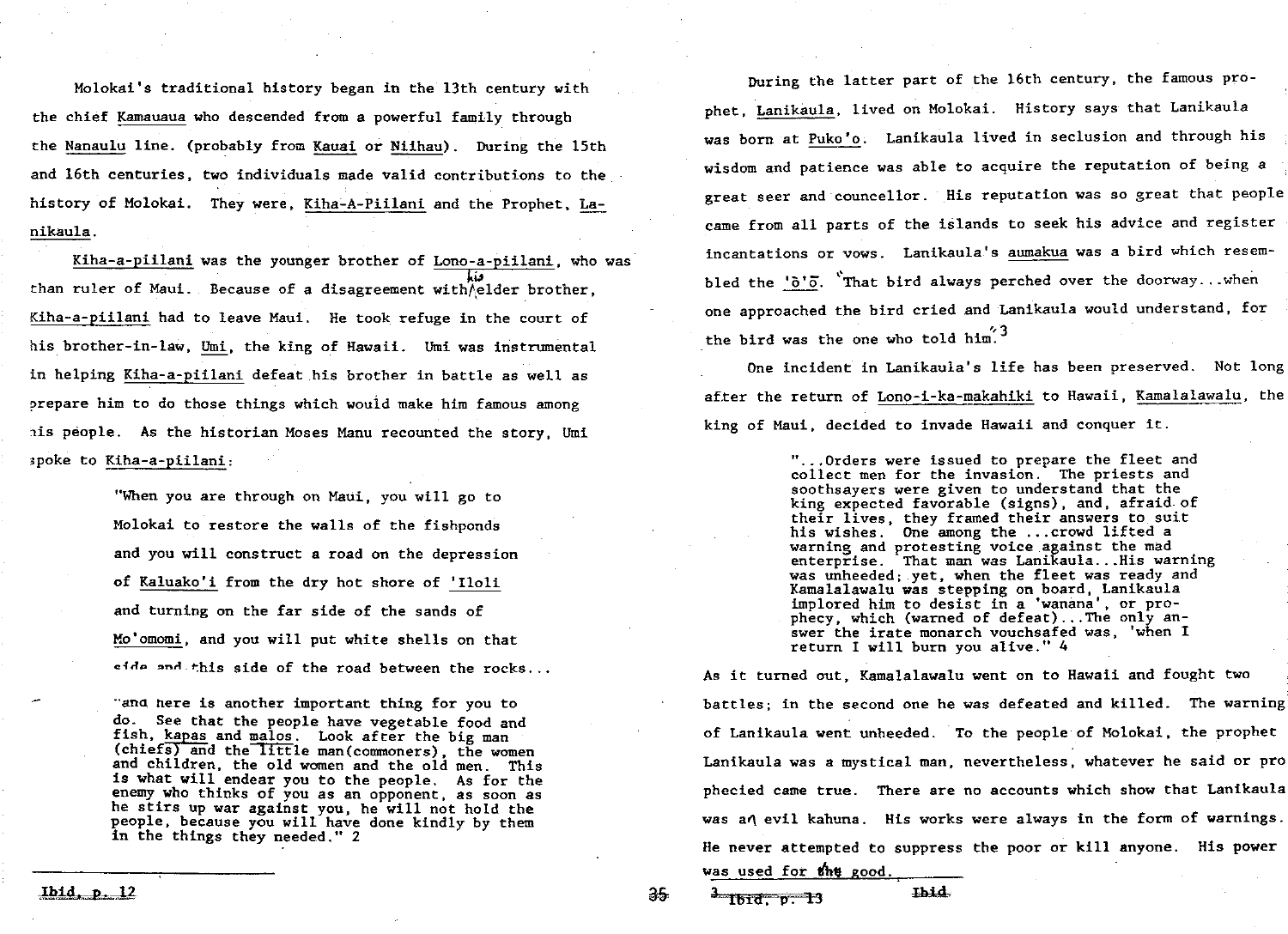Molokai's traditional history began in the 13th century with the chief Kamauaua who descended from a powerful family through the Nanaulu line. (probably from Kauai or Niihau). During the 15th and 16th centuries, two individuals made valid contributions to the history of Molokai. They were, Kiha-A-Piilani and the Prophet, Lanikaula

Kiha-a-piilani was the younger brother of Lono-a-piilani, who was than ruler of Maui. Because of a disagreement with/elder brother, Kiha-a-piilani had to leave Maui. He took refuge in the court of his brother-in-law, Umi, the king of Hawaii. Umi was instrumental in helping Kiha-a-piilani defeat his brother in battle as well as prepare him to do those things which would make him famous among his people. As the historian Moses Manu recounted the story, Umi spoke to Kiha-a-piilani:

> "When you are through on Maui, you will go to molokai to restore the walls of the fishponds and you will construct a road on the depression of Kaluako'i from the dry hot shore of 'Iloli and turning on the far side of the sands of Mo'omomi, and you will put white shells on that side and this side of the road between the rocks...

and here is another important thing for you to do. See that the people have vegetable food and<br>fish, kapas and malos. Look after the big man  $(chiefs)$  and the little man(commoners), the women and children, the old women and the old men. This<br>is what will endear you to the people. As for the enemy who thinks of you as an opponent, as soon as he stirs up war against you, he will not hold the people, because you will have done kindly by them in the things they needed <sup>2</sup>

<u>Jbid, p. 12</u> 35

During the latter part of the 16th century, the famous prophet, Lanikaula, lived on Molokai. History says that Lanikaula was born at Puko'o. Lanikaula lived in seclusion and through his wisdom and patience was able to acquire the reputation of being a great seer and councellor. His reputation was so great that people came from all parts of the islands to seek his advice and register incantations or vows. Lanikaula's aumakua was a bird which resembled the ' $\delta'$ . That bird always perched over the doorway... when one approached the bird cried and Lanikaula would understand, for the bird was the one who told him<sup>".3</sup>

One incident in Lanikaula's life has been preserved. Not long after the return of Lono-i-ka-makahiki to Hawaii, Kamalalawalu, the king of Maui, decided to invade Hawaii and conquer it.

> "...Orders were issued to prepare the fleet and collect men for the invasion. The priests and soothsayers were given to understand that the king expected favorable (signs), and, afraid of their lives, they framed their answers to suit his wishes. One among the ... crowd lifted a warning and protesting voice against the mad enterprise. That man was Lanikaula...His warning was unheeded; yet, when the fleet was ready and Kamalalawalu was stepping on board, Lanikaula implored him to desist in a 'wanana', or prophecy, which (warned of defeat)...The only answer the irate monarch vouchsafed was, 'when  $I$ return I will burn you alive."  $4$

As it turned out, Kamalalawalu went on to Hawaii and fought two battles; in the second one he was defeated and killed. The warning of Lanikaula went unheeded. To the people of Molokai, the prophet Lanikaula was a mystical man, nevertheless, whatever he said or pro phecied came true. There are no accounts which show that Lanikaula was a $\eta$  evil kahuna. His works were always in the form of warnings. He never attempted to suppress the poor or kill anyone. His power was used for thu good

 $3$  Ibid, p. 13 Ibid.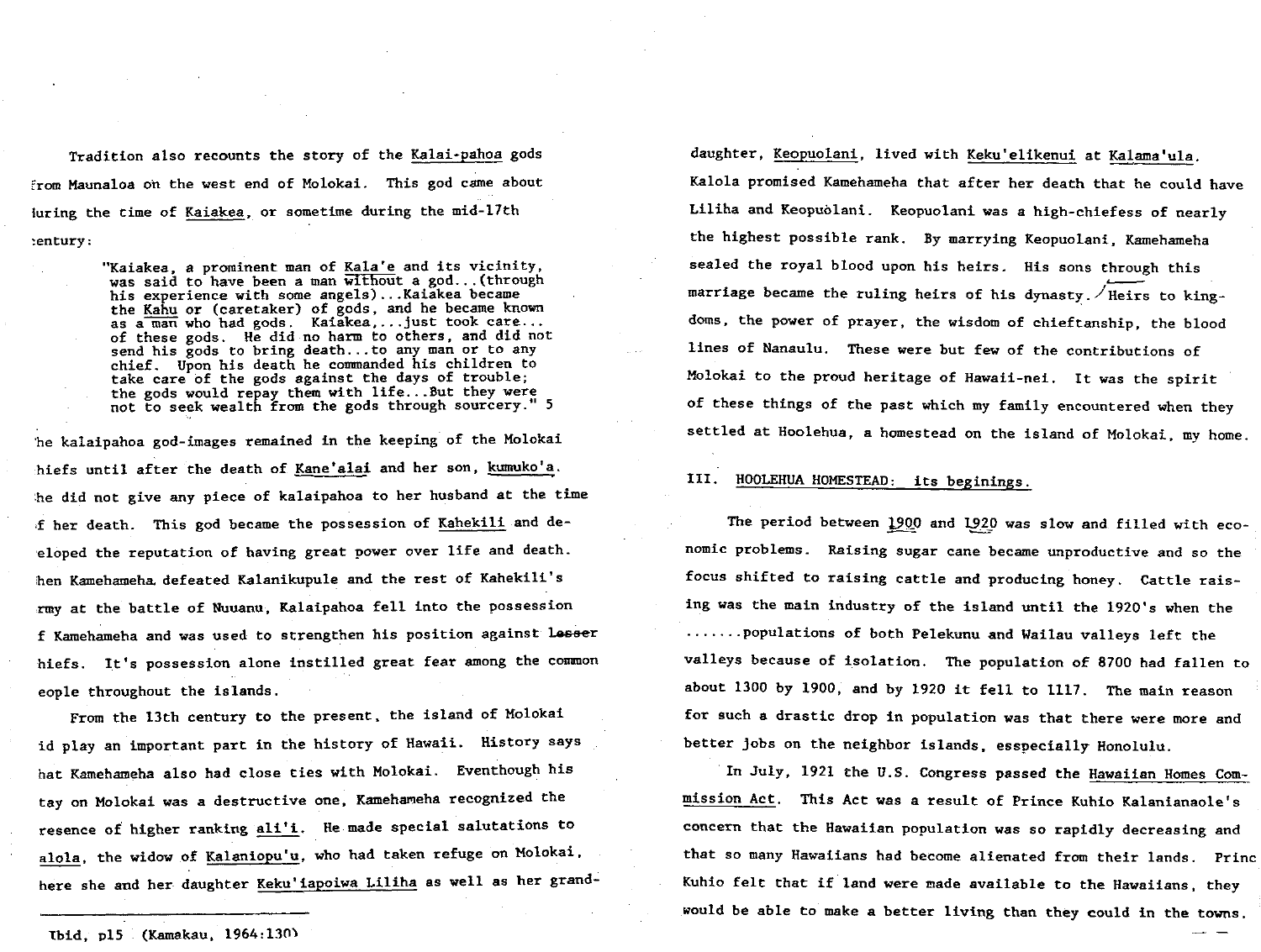Tradition also recounts the story of the Kalai-pahoa gods from Maunaloa on the west end of Molokai. This god came about luring the time of Kaiakea, or sometime during the mid-17th  $:$ entury:

"Kaiakea, a prominent man of Kala'e and its vicinity, was said to have been a man without a god... (through his experience with some angels)...Kaiakea became the Kahu or (caretaker) of gods, and he became known as a man who had gods. Kaiakea, ... just took care... of these gods. He did no harm to others, and did not send his gods to bring death... to any man or to any chief. Upon his death he commanded his children to take care of the gods against the days of trouble the gods would repay them with life...But they were not to seek wealth from the gods through sourcery." 5 he kalaipahoa god-images remained in the keeping of the Molokai hiefs until after the death of Kane'alai and her son, kumuko'a. he did not give any piece of kalaipahoa to her husband at the time f her death. This god became the possession of Kahekili and deeloped the reputation of having great power over life and death. hen Kamehameha defeated Kalanikupule and the rest of Kahekili's rmy at the battle of Nuuanu, Kalaipahoa fell into the possession f Kamehameha and was used to strengthen his position against lesser hiefs. It's possession alone instilled great fear among the common eople throughout the islands

From the 13th century to the present, the island of Molokai id play an important part in the history of Hawaii. History says hat Kamehameha also had close ties with Molokai. Eventhough his tay on Molokai was a destructive one, Kamehameha recognized the resence of higher ranking ali'i. He made special salutations to alola, the widow of Kalaniopu'u, who had taken refuge on Molokai. here she and her daughter Keku'iapoiwa Liliha as well as her grand-

Ibid, pl5 (Kamakau, 1964:130)

daughter, Keopuolani, lived with Keku'elikenui at Kalama'ula. kalola promised kamehameha that after her death that he could have Liliha and Keopuolani. Keopuolani was a high-chiefess of nearly the highest possible rank. By marrying Keopuolani, Kamehameha sealed the royal blood upon his heirs. His sons through this marriage became the ruling heirs of his dynasty.  $\angle$  Heirs to kingdoms, the power of prayer, the wisdom of chieftanship, the blood lines of Nanaulu. These were but few of the contributions of Molokai to the proud heritage of Hawaii-nei. It was the spirit of these things of the past which my family encountered when they settled at Hoolehua, a homestead on the island of Molokai, my home.

### III. HOOLEHUA HOMESTEAD: its beginings.

The period between 1900 and 1920 was slow and filled with economic problems. Raising sugar cane became unproductive and so the focus shifted to raising cattle and producing honey. Cattle raising was the main industry of the island until the 1920's when the  $\dots \dots$  populations of both Pelekunu and Wailau valleys left the valleys because of isolation. The population of 8700 had fallen to about 1300 by 1900, and by 1920 it fell to 1117. The main reason for such <sup>a</sup> drastic drop in population was that there were more and better jobs on the neighbor islands, esspecially Honolulu.

In July, 1921 the U.S. Congress passed the Hawaiian Homes Commission Act. This Act was a result of Prince Kuhio Kalanianaole's concern that the hawaiian population was so rapidly decreasing and that so many Hawaiians had become alienated from their lands. Princ Kuhio felt that if land were made available to the Hawaiians, they would be able to make a better living than they could in the towns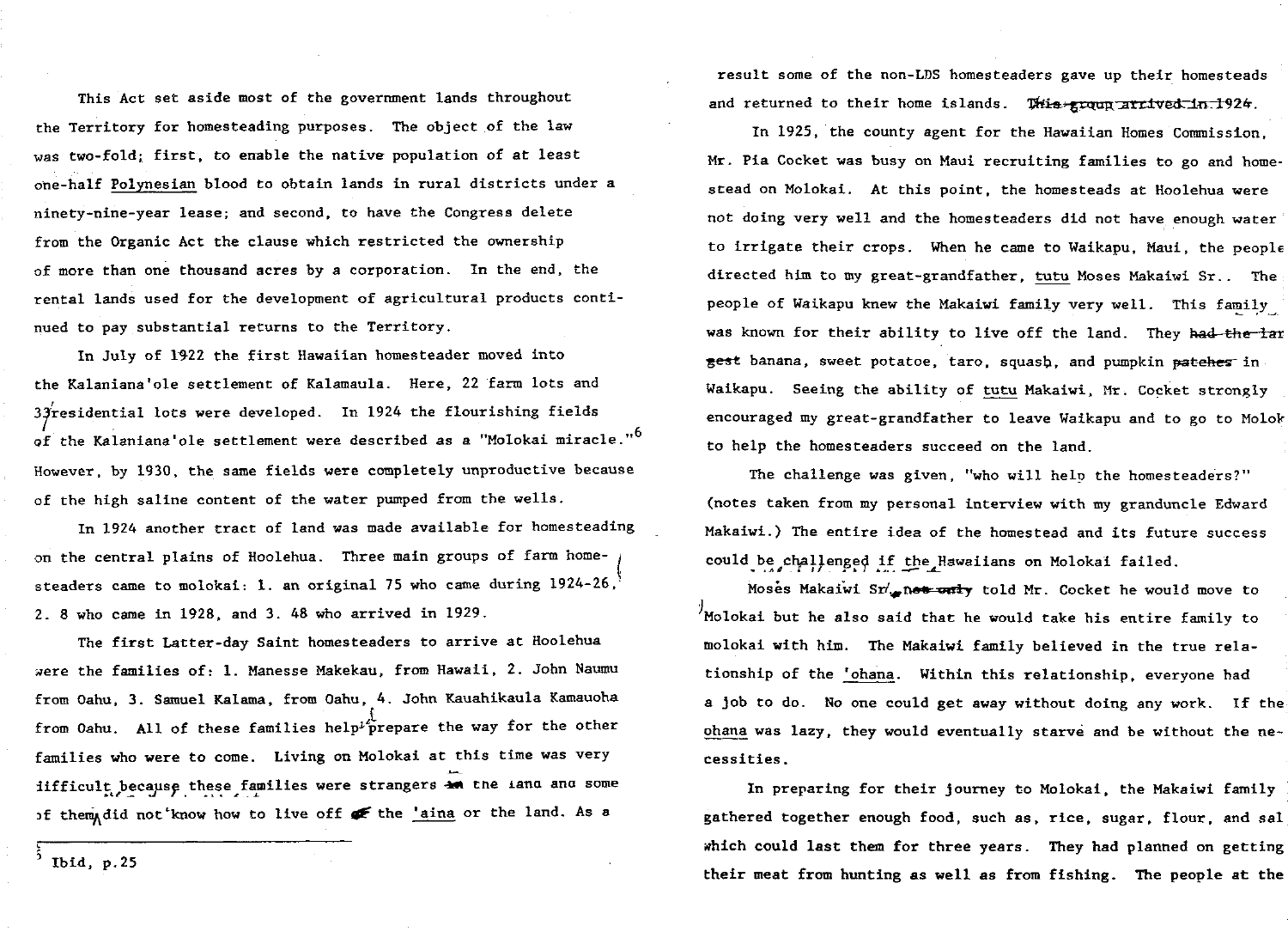This Act set aside most of the government lands throughout the Territory for homesteading purposes. The object of the law was two-fold; first, to enable the native population of at least one-half Polynesian blood to obtain lands in rural districts under a ninety-nine-year lease; and second, to have the Congress delete from the Organic Act the clause which restricted the ownership of more than one thousand acres by a corporation. In the end, the rental lands used for the development of agricultural products continued to pay substantial returns to the Territory.

in july of <sup>1922</sup> the first hawaiian homesteader moved into the Kalaniana'ole settlement of Kalamaula. Here, 22 farm lots and 37residential lots were developed. In 1924 the flourishing fields d<br>of the Kalaniana'ole settlement were described as a "Molokai miracle."<sup>6</sup> However, by 1930, the same fields were completely unproductive because of the high saline content of the water pumped from the wells. in 1924 another tract of land was made available for homesteading on the central plains of Hoolehua. Three main groups of farm homel steaders came to molokai: 1. an original 75 who came during  $1924 - 26$ ,

2. 8 who came in  $1928$ , and 3. 48 who arrived in 1929.

The first Latter-day Saint homesteaders to arrive at Hoolehua were the families of: 1. Manesse Makekau, from Hawaii, 2. John Naumu from Oahu, 3. Samuel Kalama, from Oahu, 4. John Kauahikaula Kamauoha  $\frac{1}{2}$ from Oahu. All of these families help<sup>i</sup> prepare the way for the other families who were to come. Living on Molokai at this time was very difficult because these families were strangers in families who were to come. Living on Molokai at this time was very<br>difficult because these families were strangers  $\overline{4\pi}$  the land and some<br>of them, did not know how to live off  $\overline{4\pi}$  the 'aina or the land. As a

Ibid,  $p.25$ 

moses Makaiwi Sr<sub>op</sub>ne<del>s und</del> <del>only</del> told Mr. Cocket he would move to molokai but he also said that he would take his entire family to molokai with him. The Makaiwi family believed in the true relationship of the 'ohana. Within this relationship, everyone had a job to do. No one could get away without doing any work. If the ohana was lazy, they would eventually starve and be without the necessities

In preparing for their journey to Molokai, the Makaiwi family gathered together enough food, such as, rice, sugar, flour, and sal which could last them for three years. They had planned on getting their meat from hunting as well as from fishing. The people at the

3

result some of the non-LDS homesteaders gave up their homesteads and returned to their home islands. This group arrived in 1924. In 1925, the county agent for the Hawaiian Homes Commission, Mr. Pia Cocket was busy on Maui recruiting families to go and homestead on Molokai. At this point, the homesteads at Hoolehua were not doing very well and the homesteaders did not have enough water to irrigate their crops. When he came to Waikapu, Maui, the people directed him to my great-grandfather, tutu Moses Makaiwi Sr.. The people of Waikapu knew the Makaiwi family very well. This family was known for their ability to live off the land. They had the lar gest banana, sweet potatoe, taro, squash, and pumpkin patehes in Waikapu. Seeing the ability of tutu Makaiwi, Mr. Cocket strongly encouraged my great-grandfather to leave Waikapu and to go to Molok

to help the homesteaders succeed on the land

The challenge was given, "who will help the homesteaders?" (notes taken from my personal interview with my granduncle Edward Makaiwi.) The entire idea of the homestead and its future success could be challenged if the Hawaiians on Molokai failed.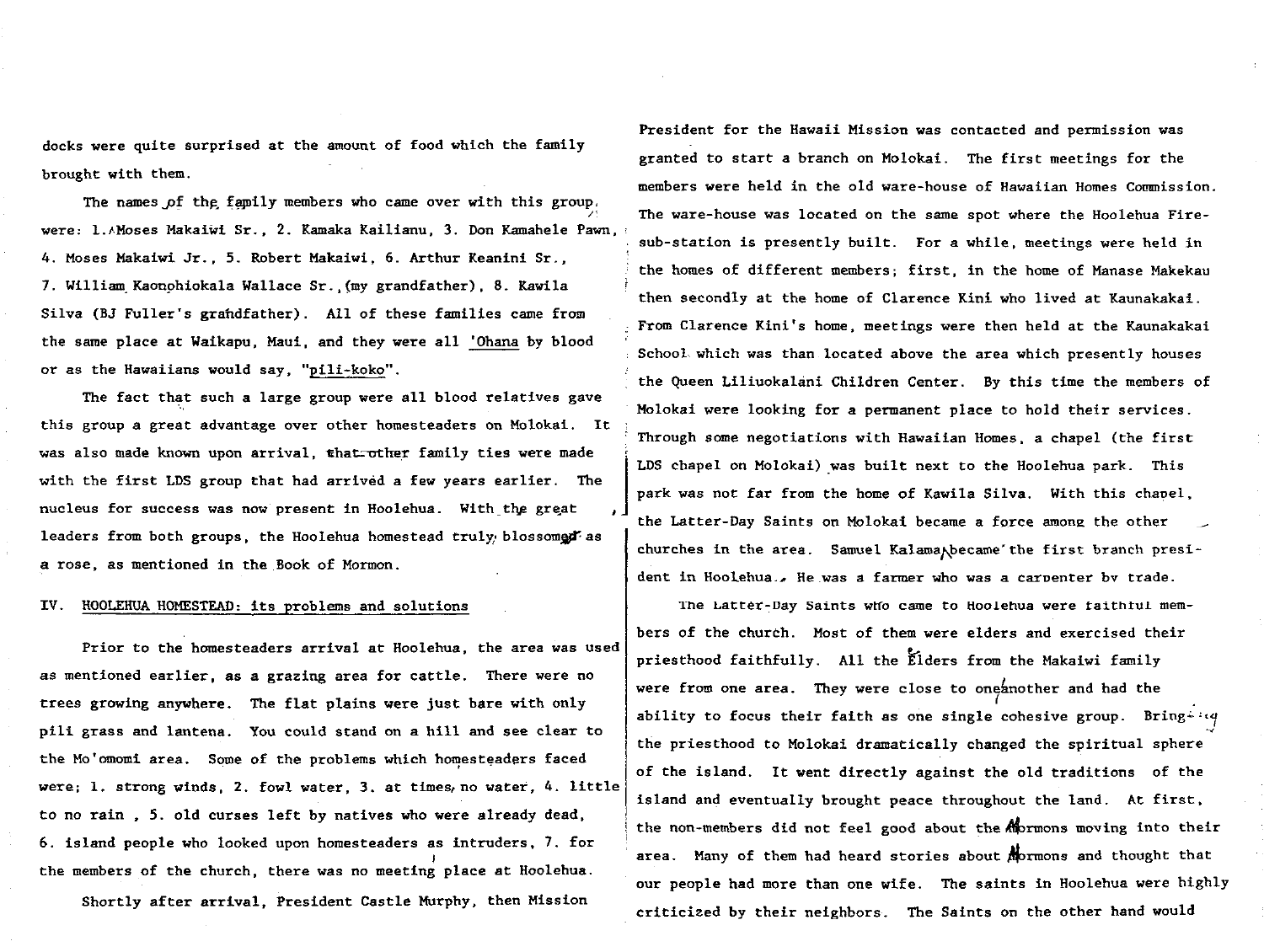docks were quite surprised at the amount of food which the family brought with them

The names of the family members who came over with this group.  $\overline{\phantom{a}}$ were: 1.∧Moses Makaiwi Sr., 2. Kamaka Kailianu, 3. Don Kamahele Paw 4. Moses Makaiwi Jr., 5. Robert Makaiwi, 6. Arthur Keanini Sr., 7. William Kaonohiokala Wallace Sr., (my grandfather), 8. Kawila Silva (BJ Fuller's grandfather). All of these families came from the same place at Waikapu, Maui, and they were all 'Ohana by blood or as the Hawaiians would say, " $pi$ <sup>11</sup>+koko".

The fact that such a large group were all blood relatives gave this group a great advantage over other homesteaders on Molokai. It leaders from both groups, the Hoolehua homestead truly blossomed as

was also made known upon arrival, that other family ties were made with the first LDS group that had arrived a few years earlier. The nucleus for success was now present in Hoolehua. With the great 1 a rose, as mentioned in the Book of Mormon. IV. HOOLEHUA HOMESTEAD: its problems and solutions Prior to the homesteaders arrival at Hoolehua, the area was used as mentioned earlier, as a grazing area for cattle. There were no trees growing anywhere. The flat plains were just bare with only pili grass and lantena. You could stand on a hill and see clear to the Mo'omomi area. Some of the problems which homesteaders faced were; I. strong winds, 2. fowl water, 3. at times, no water, 4. little to no rain, 5. old curses left by natives who were already dead, 6. island people who looked upon homesteaders as intruders, 7. for I1 the members of the church, there was no meeting place at Hoolehua. Shortly after arrival, President Castle Murphy, then Mission Through some negotiations with Hawaiian Homes, a chapel (the first LDS chapel on Molokai) was built next to the Hoolehua park. This park was not far from the home of Kawila Silva. With this chapel, the Latter-Day Saints on Molokai became a force among the other  $\qquad$ churches in the area. Samuel Kalama hecame the first branch president in Hoolehua.. He was a farmer who was a carpenter by trade. The Latter-Day Saints who came to Hoolehua were faithful members of the church. Most of them were elders and exercised their priesthood faithfully. All the Elders from the Makaiwi family were from one area. They were close to one another and had the ability to focus their faith as one single cohesive group. Bring  $4 \cdot 4$ the priesthood to Molokai dramatically changed the spiritual sphere of the island. It went directly against the old traditions of the island and eventually brought peace throughout the land. At first, the non-members did not feel good about the amons moving into their area. Many of them had heard stories about mormons and thought that our people had more than one wife. The saints in Hoolehua were highly criticized by their neighbors. The Saints on the other hand would

President for the Hawaii Mission was contacted and permission was granted to start a branch on Molokai. The first meetings for the members were held in the old ware-house of Hawaiian Homes Commission. The ware-house was located on the same spot where the Hoolehua Firesub-station is presently built. For a while, meetings were held in the homes of different members; first, in the home of Manase Makekau then secondly at the home of clarence kini who lived at kaunakakai  $_f$  From Clarence Kini's home, meetings were then held at the Kaunakakai school which was than located above the area which presently houses the Queen Liliuokalani Children Center. By this time the members of Molokai were looking for a permanent place to hold their services.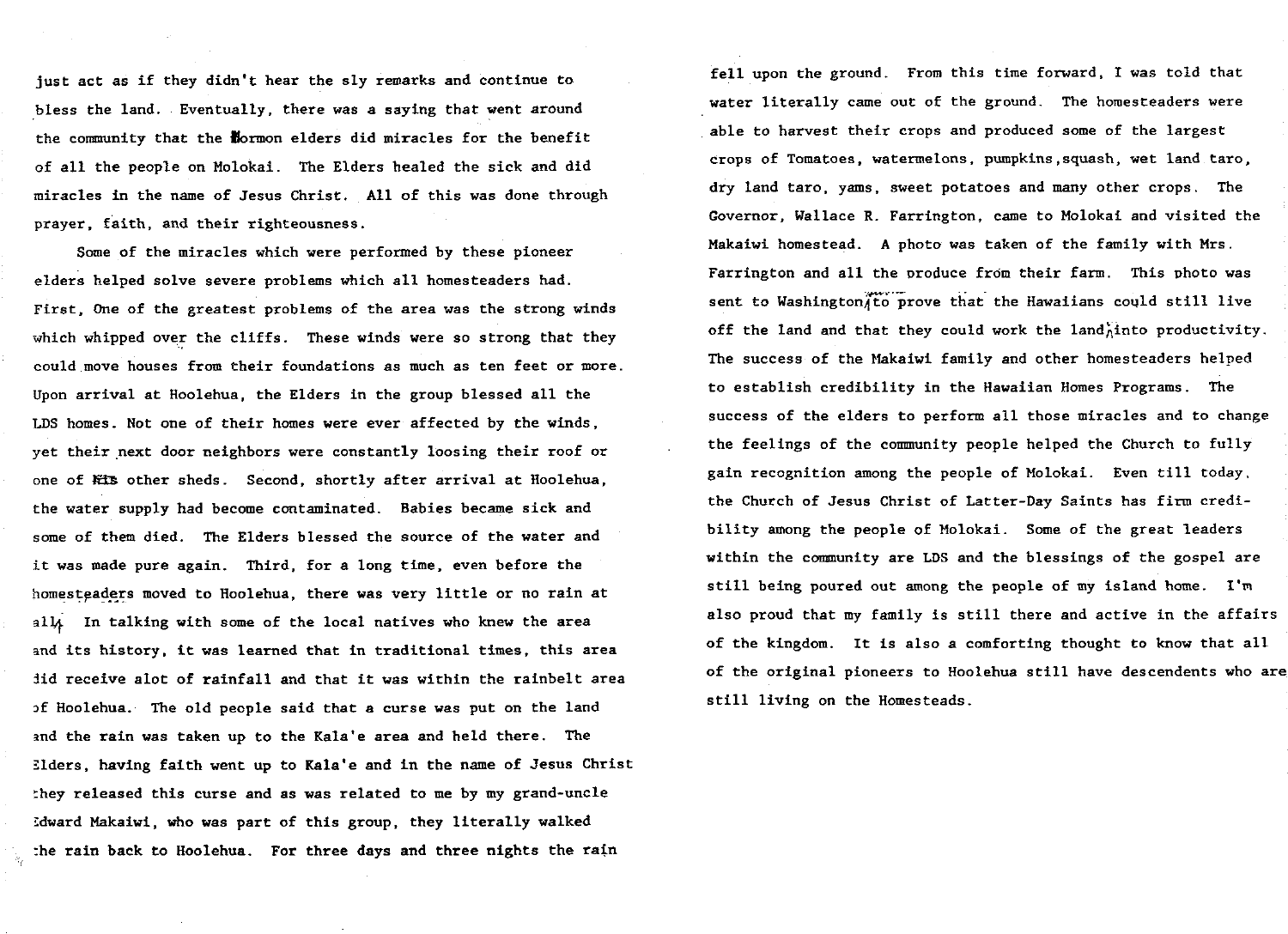just act as if they didn't hear the sly remarks and continue to bless the land. Eventually, there was a saying that went around the community that the normon elders did miracles for the benefit of all the people on Molokai. The Elders healed the sick and did miracles in the name of Jesus Christ. All of this was done through prayer, faith, and their righteousness.

some of the miracles which were performed by these pioneer elders helped solve severe problems which all homesteaders had First, One of the greatest problems of the area was the strong winds which whipped over the cliffs. These winds were so strong that they could move houses from their foundations as much as ten feet or more Upon arrival at Hoolehua, the Elders in the group blessed all the LDS homes. Not one of their homes were ever affected by the winds, yet their next door neighbors were constantly loosing their roof or one of Kis other sheds. Second, shortly after arrival at Hoolehua, the water supply had become contaminated. Babies became sick and some of them died. The Elders blessed the source of the water and it was made pure again. Third, for a long time, even before the homesteaders moved to Hoolehua, there was very little or no rain at all. In talking with some of the local natives who knew the area and its history, it was learned that in traditional times, this area did receive alot of rainfall and that it was within the rainbelt area of Hoolehua. The old people said that a curse was put on the land and the rain was taken up to the Kala'e area and held there. The 3 lders, h<mark>avi</mark>ng faith went up to Kala'e and in the name of Jesus Christ they released this curse and as was related to me by my grand-uncle  $\,$ Idward Makaiwi, who was part of this group, they literally walked  $\frac{1}{2}$  the rain back to Hoolehua. For three days and three nights the rain

fell upon the ground. From this time forward, I was told that water literally came out of the ground. The homesteaders were able to harvest their crops and produced some of the largest crops of Tomatoes, watermelons, pumpkins, squash, wet land taro, dry land taro, yams, sweet potatoes and many other crops. The Governor, Wallace R. Farrington, came to Molokai and visited the Makaiwi homestead. A photo was taken of the family with Mrs. Farrington and all the produce from their farm. This photo was sent to Washington to prove that the Hawaiians could still live off the land and that they could work the land into productivity. The success of the Makaiwi family and other homesteaders helped to establish credibility in the Hawaiian Homes Programs. The success of the elders to perform all those miracles and to change the feelings of the community people helped the church to fully gain recognition among the people of Molokai. Even till today the Church of Jesus Christ of Latter-Day Saints has firm credibility among the people of Molokai. Some of the great leaders within the community are LDS and the blessings of the gospel are still being poured out among the people of my island home. I'm also proud that my family is still there and active in the affairs of the kingdom. It is also a comforting thought to know that all of the original pioneers to hoolehua still have descendents who are still living on the Homesteads.